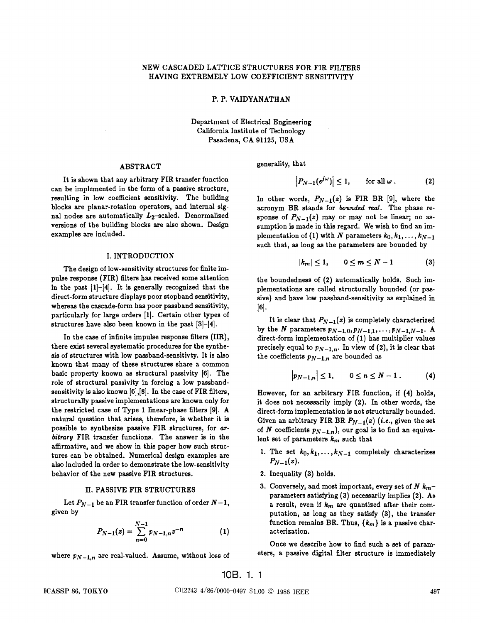### P. P. VAIDYANATHAN

Department of Electrical Engineering California Institute of Technology Pasadena, CA 91125, USA

### ABSTRACT

It is shown that any arbitrary FIR transfer function can be implemented in the form of a passive structure, resulting in low coefficient sensitivity. The building blocks are planar-rotation operators, and internal signal nodes are automatically  $L_2$ -scaled. Denormalized versions of the building blocks are also shown. Design examples are included.

### I. INTRODUCTION

The design of low-sensitivity structures for finite impulse response (FIR) filters has received some attention in the past  $[1]-[4]$ . It is generally recognized that the direct-form structure displays poor stopband sensitivity, whereas the cascade-form has poor passband sensitivity, particularly for large orders [1]. Certain other types of structures have also been known in the past [3]—[4].

In the case of infinite impulse response filters (IIR), there exist several systematic procedures for the synthesis of structures with low passband-sensitivty. It is also known that many of these structures share a common basic property known as structural passivity [6]. The role of structural passivity in forcing a low passbandsensitivity is also known [6],[8]. In the case of FIR filters, structurally passive implementations are known only for the restricted case of Type 1 linear-phase filters 191. A natural question that arises, therefore, is whether it is possible to synthesize passive FIR structures, for arbitrary FIR transfer functions. The answer is in the affirmative, and we show in this paper how such structures can be obtained. Numerical design examples are also included in order to demonstrate the low-sensitivity behavior of the new passive FIR structures.

## H. PASSIVE FIR STRUCTURES

Let  $P_{N-1}$  be an FIR transfer function of order  $N-1$ , given by

$$
P_{N-1}(z) = \sum_{n=0}^{N-1} p_{N-1,n} z^{-n} \tag{1}
$$

where  $p_{N-1,n}$  are real-valued. Assume, without loss of

generality, that

$$
\left|P_{N-1}(e^{j\omega})\right| \leq 1, \qquad \text{for all } \omega. \tag{2}
$$

In other words,  $P_{N-1}(z)$  is FIR BR [9], where the acronym BR stands for bounded real. The phase response of  $P_{N-1}(z)$  may or may not be linear; no assumption is made in this regard. We wish to find an implementation of (1) with N parameters  $k_0, k_1, \ldots, k_{N-1}$ such that, as long as the parameters are bounded by

$$
|k_m| \leq 1, \qquad 0 \leq m \leq N-1 \tag{3}
$$

the boundedness of (2) automatically holds. Such implementations are called structurally bounded (or passive) and have low passband-sensitivity as explained in  $[6]$ .

It is clear that  $P_{N-1}(z)$  is completely characterized by the N parameters  $p_{N-1,0}, p_{N-1,1}, \ldots, p_{N-1,N-1}$ . A direct-form implementation of (1) has multiplier values precisely equal to  $p_{N-1,n}$ . In view of (2), it is clear that the coefficients  $p_{N-1,n}$  are bounded as

$$
\left|p_{N-1,n}\right| \leq 1, \qquad 0 \leq n \leq N-1. \tag{4}
$$

However, for an arbitrary FIR function, if (4) holds, it does not necessarily imply (2). In other words, the direct-form implementation is not structurally bounded. Given an arbitrary FIR BR  $P_{N-1}(z)$  (i.e., given the set of N coefficients  $p_{N-1,n}$ , our goal is to find an equivalent set of parameters  $k_m$  such that

- 1. The set  $k_0, k_1, \ldots, k_{N-1}$  completely characterizes  $P_{N-1}(z)$ .
- 2. Inequality (3) holds.
- 3. Conversely, and most important, every set of N  $k_m$ parameters satisfying (3) necessarily implies (2). As a result, even if  $k_m$  are quantized after their computation, as long as they satisfy (3), the transfer function remains BR. Thus,  $\{k_m\}$  is a passive characterization.

Once we describe how to find such a set of parameters, a passive digital filter structure is immediately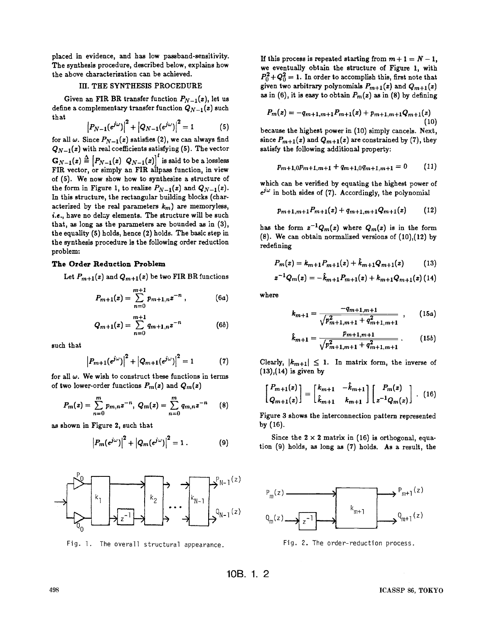placed in evidence, and has low pasaband-sensitivity. The synthesis procedure, described below, explains how we eventually obtain the structure of Figure 1, with the above characterization can be achieved.

### III. THE SYNTHESIS PROCEDURE

Given an FIR BR transfer function  $P_{N-1}(z)$ , let us define a complementary transfer function  $Q_{N-1}(z)$  such that

$$
|P_{N-1}(e^{j\omega})|^2 + |Q_{N-1}(e^{j\omega})|^2 = 1
$$
 (5)

for all  $\omega$ . Since  $P_{N-1}(z)$  satisfies (2), we can always find  $Q_{N-1}(z)$  with real coefficients satisfying (5). The vector  $\mathbf{G}_{N-1}(z) \triangleq [P_{N-1}(z) \ Q_{N-1}(z)]$  is said to be a lossless FIR vector, or simply an FIR allpass function, in view  $P_r$ of (5). We now show how to synthesize a structure of the form in Figure 1, to realize  $P_{N-1}(z)$  and  $Q_{N-1}(z)$ . In this structure, the rectangular building blocks (characterized by the real parameters  $k_m$ ) are memoryless, i.e., have no delay elements. The structure will be such that, as long as the parameters are bounded as in (3), the equality (5) holds, hence (2) holds. The basic step in the synthesis procedure is the following order reduction problem:

# The Order Reduction Problem

Let  $P_{m+1}(z)$  and  $Q_{m+1}(z)$  be two FIR BR functions

$$
P_{m+1}(z) = \sum_{n=0}^{m+1} p_{m+1,n} z^{-n} , \qquad (6a)
$$

$$
Q_{m+1}(z) = \sum_{n=0}^{m+1} q_{m+1,n} z^{-n} \tag{6b}
$$

such that

$$
|P_{m+1}(e^{j\omega})|^2 + |Q_{m+1}(e^{j\omega})|^2 = 1
$$
 (7)

for all  $\omega$ . We wish to construct these functions in terms of two lower-order functions  $P_m(z)$  and  $Q_m(z)$ 

$$
P_m(z) = \sum_{n=0}^{m} p_{m,n} z^{-n}, \ Q_m(z) = \sum_{n=0}^{m} q_{m,n} z^{-n} \qquad (8)
$$

as shown in Figure 2, such that

$$
\left|P_m(e^{j\omega})\right|^2+\left|Q_m(e^{j\omega})\right|^2=1\,.
$$
 (9)



Fig. 1. The overall structural appearance.

If this process is repeated starting from  $m + 1 = N - 1$ ,  $P_0^2+Q_0^2=1$ . In order to accomplish this, first note that given two arbitrary polynomials  $P_{m+1}(z)$  and  $Q_{m+1}(z)$ as in (6), it is easy to obtain  $P_m(z)$  as in (8) by defining

$$
P_m(z) = -q_{m+1,m+1}P_{m+1}(z) + p_{m+1,m+1}Q_{m+1}(z)
$$
\n(10)

because the highest power in (10) simply cancels. Next, since  $P_{m+1}(z)$  and  $Q_{m+1}(z)$  are constrained by (7), they satisfy the following additional property:

$$
p_{m+1,0}p_{m+1,m+1} + q_{m+1,0}q_{m+1,m+1} = 0 \qquad (11)
$$

which can be verified by equating the highest power of  $e^{j\omega}$  in both sides of (7). Accordingly, the polynomial

$$
p_{m+1,m+1}P_{m+1}(z)+q_{m+1,m+1}Q_{m+1}(z) \qquad (12)
$$

has the form  $z^{-1}Q_m(z)$  where  $Q_m(z)$  is in the form (8). We can obtain normalized versions of (10),(12) by redefining

$$
P_m(z) = k_{m+1} P_{m+1}(z) + \hat{k}_{m+1} Q_{m+1}(z) \tag{13}
$$

$$
z^{-1}Q_m(z)=-\hat{k}_{m+1}P_{m+1}(z)+k_{m+1}Q_{m+1}(z) (14)
$$

where

$$
k_{m+1} = \frac{-q_{m+1,m+1}}{\sqrt{p_{m+1,m+1}^2 + q_{m+1,m+1}^2}} \quad , \qquad (15a)
$$

$$
\hat{k}_{m+1} = \frac{p_{m+1,m+1}}{\sqrt{p_{m+1,m+1}^2 + q_{m+1,m+1}^2}} \ . \qquad (15b)
$$

Clearly,  $|k_{m+1}| \leq 1$ . In matrix form, the inverse of  $(13),(14)$  is given by

$$
\begin{bmatrix} P_{m+1}(z) \\ Q_{m+1}(z) \end{bmatrix} = \begin{bmatrix} k_{m+1} & -k_{m+1} \\ \hat{k}_{m+1} & k_{m+1} \end{bmatrix} \begin{bmatrix} P_m(z) \\ z^{-1}Q_m(z) \end{bmatrix} . \tag{16}
$$

Figure 3 shows the interconnection pattern represented by (16).

Since the  $2 \times 2$  matrix in (16) is orthogonal, equation (9) holds, as long as (7) holds. As a result, the



Fig. 2. The order—reduction process.

lOB. 1. 2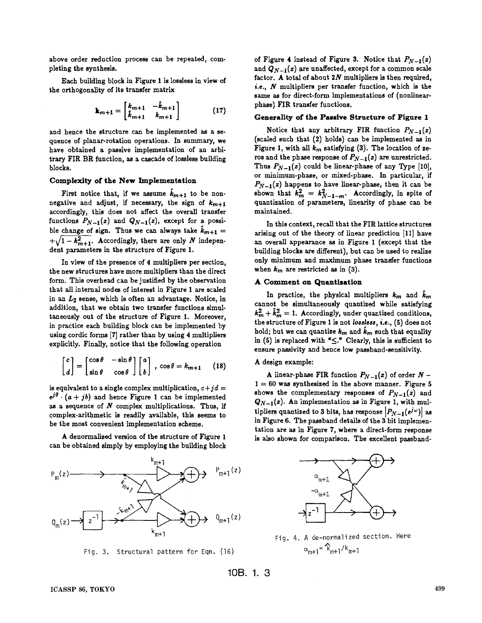above order reduction process can be repeated, completing the synthesis.

Each building block in Figure 1 is lossless in view of the orthogonaiity of its transfer matrix

$$
\mathbf{k}_{m+1} = \begin{bmatrix} k_{m+1} & -k_{m+1} \\ k_{m+1} & k_{m+1} \end{bmatrix} \tag{17}
$$

and hence the structure can be implemented as a sequence of planar-rotation operations. In summary, we have obtained a passive implementation of an arbitrary FIR BR function, as a cascade of lossless building blocks.

#### Complexity of the New implementation

First notice that, if we assume  $k_{m+1}$  to be non-<br>negative and adjust, if necessary, the sign of  $k_{m+1}$ accordingly, this does not affect the overall transfer functions  $P_{N-1}(z)$  and  $Q_{N-1}(z)$ , except for a possible change of sign. Thus we can always take  $k_{m+1} =$  $+\sqrt{1-k_{m+1}^2}$ . Accordingly, there are only N independent parameters in the structure of Figure 1.

In view of the presence of 4 multipliers per section, the new structures have more multipliers than the direct form. This overhead can be justified by the observation that all internal nodes of interest in Figure 1 are scaled in an  $L_2$  sense, which is often an advantage. Notice, in addition, that we obtain two transfer functions simultaneously out of the structure of Figure 1. Moreover, in practice each building block can be implemented by using cordic forms [7] rather than by using 4 multipliers explicitly. Finally, notice that the following operation

$$
\begin{bmatrix} c \\ d \end{bmatrix} = \begin{bmatrix} \cos \theta & -\sin \theta \\ \sin \theta & \cos \theta \end{bmatrix} \begin{bmatrix} a \\ b \end{bmatrix}, \cos \theta = k_{m+1} \qquad (18)
$$

is equivalent to a single complex multiplication,  $c+jd = e^{j\theta} \cdot (a + jb)$  and hence Figure 1 can be implemented as a sequence of  $N$  complex multiplications. Thus, if complex-arithmetic is readily available, this seems to be the most convenient implementation scheme.

A denormalized version of the structure of Figure 1 can be obtained simply by employing the building block



Fig. 3. Structural pattern for Eqn. (16)

of Figure 4 instead of Figure 3. Notice that  $P_{N-1}(z)$ and  $Q_{N-1}(z)$  are unaffected, except for a common scale factor. A total of about  $2N$  multipliers is then required, i.e.,  $N$  multipliers per transfer function, which is the same as for direct-form implementations of (nonlinearphase) FIR transfer functions.

#### Generality of the Passive Structure of FIgure 1

Notice that any arbitrary FIR function  $P_{N-1}(z)$ (scaled such that (2) holds) can be implemented as in Figure 1, with all  $k_m$  satisfying (3). The location of zeros and the phase response of  $P_{N-1}(z)$  are unrestricted. Thus  $P_{N-1}(z)$  could be linear-phase of any Type [10], or minimum-phase, or mixed-phase. In particular, if  $P_{N-1}(z)$  happens to have linear-phase, then it can be shown that  $k_m^2 = k_{N-1-m}^2$ . Accordingly, in spite of quantigation of parameters, linearity of phase can be maintained.

In this context, recall that the FIR lattice structures arising out of the theory of linear prediction [11] have an overall appearance as in Figure 1 (except that the building blocks are different), but can be used to realize only minimum and maximum phase transfer functions when  $k_m$  are restricted as in (3).

#### A Comment on Quantlsatlon

In practice, the physical multipliers  $k_m$  and  $\tilde{k}_m$ cannot be simultaneously quantized while satisfying  $k_m^2 + \hat{k}_m^2 = 1$ . Accordingly, under quantized conditions, the structure of Figure 1 is not lossless, i.e., (5) does not hold; but we can quantize  $k_m$  and  $\hat{k}_m$  such that equality in (5) is replaced with " $\leq$ ." Clearly, this is sufficient to ensure passivity and hence low passband-sensitivity.

# A design example:

A linear-phase FIR function  $P_{N-1}(z)$  of order  $N 1 = 60$  was synthesized in the above manner. Figure 5 shows the complementary responses of  $P_{N-1}(z)$  and  $Q_{N-1}(z)$ . An implementation as in Figure 1, with multipliers quantized to 3 bits, has response  $|P_{N-1}(e^{j\omega})|$  as in Figure 6. The passband details of the 3 bit implementation are as in Figure 7, where a direct-form response is also shown for comparison. The excellent passband-



Fig. 4. A de-normalized section. Here  $\alpha_{m+1} = \hat{k}_{m+1} / k_{m+1}$